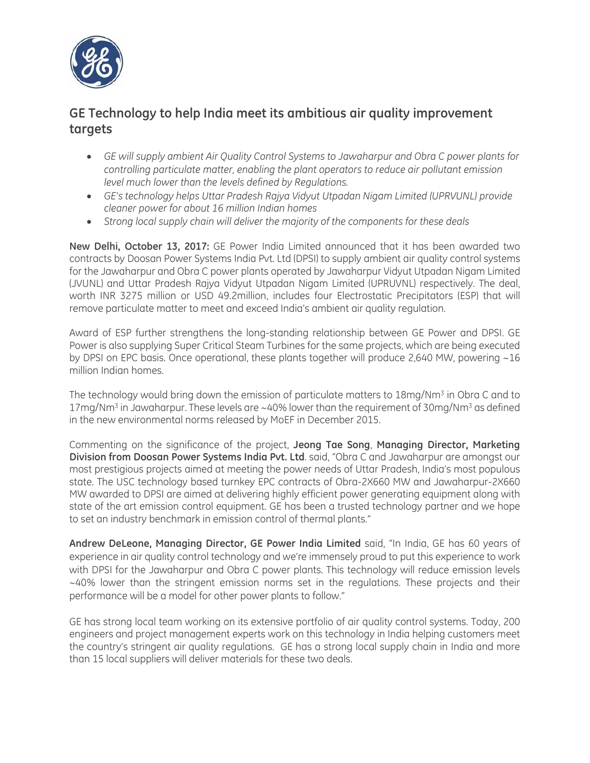

## **GE Technology to help India meet its ambitious air quality improvement targets**

- *GE will supply ambient Air Quality Control Systems to Jawaharpur and Obra C power plants for controlling particulate matter, enabling the plant operators to reduce air pollutant emission level much lower than the levels defined by Regulations.*
- *GE's technology helps Uttar Pradesh Rajya Vidyut Utpadan Nigam Limited (UPRVUNL) provide cleaner power for about 16 million Indian homes*
- *Strong local supply chain will deliver the majority of the components for these deals*

**New Delhi, October 13, 2017:** GE Power India Limited announced that it has been awarded two contracts by Doosan Power Systems India Pvt. Ltd (DPSI) to supply ambient air quality control systems for the Jawaharpur and Obra C power plants operated by Jawaharpur Vidyut Utpadan Nigam Limited (JVUNL) and Uttar Pradesh Rajya Vidyut Utpadan Nigam Limited (UPRUVNL) respectively. The deal, worth INR 3275 million or USD 49.2million, includes four Electrostatic Precipitators (ESP) that will remove particulate matter to meet and exceed India's ambient air quality regulation.

Award of ESP further strengthens the long-standing relationship between GE Power and DPSI. GE Power is also supplying Super Critical Steam Turbines for the same projects, which are being executed by DPSI on EPC basis. Once operational, these plants together will produce 2,640 MW, powering ~16 million Indian homes.

The technology would bring down the emission of particulate matters to 18mg/Nm<sup>3</sup> in Obra C and to  $17$ mg/Nm<sup>3</sup> in Jawaharpur. These levels are  $\sim$  40% lower than the requirement of 30mg/Nm<sup>3</sup> as defined in the new environmental norms released by MoEF in December 2015.

Commenting on the significance of the project, **Jeong Tae Song**, **Managing Director, Marketing Division from Doosan Power Systems India Pvt. Ltd**. said, "Obra C and Jawaharpur are amongst our most prestigious projects aimed at meeting the power needs of Uttar Pradesh, India's most populous state. The USC technology based turnkey EPC contracts of Obra-2X660 MW and Jawaharpur-2X660 MW awarded to DPSI are aimed at delivering highly efficient power generating equipment along with state of the art emission control equipment. GE has been a trusted technology partner and we hope to set an industry benchmark in emission control of thermal plants."

**Andrew DeLeone, Managing Director, GE Power India Limited** said, "In India, GE has 60 years of experience in air quality control technology and we're immensely proud to put this experience to work with DPSI for the Jawaharpur and Obra C power plants. This technology will reduce emission levels ~40% lower than the stringent emission norms set in the regulations. These projects and their performance will be a model for other power plants to follow."

GE has strong local team working on its extensive portfolio of air quality control systems. Today, 200 engineers and project management experts work on this technology in India helping customers meet the country's stringent air quality regulations. GE has a strong local supply chain in India and more than 15 local suppliers will deliver materials for these two deals.